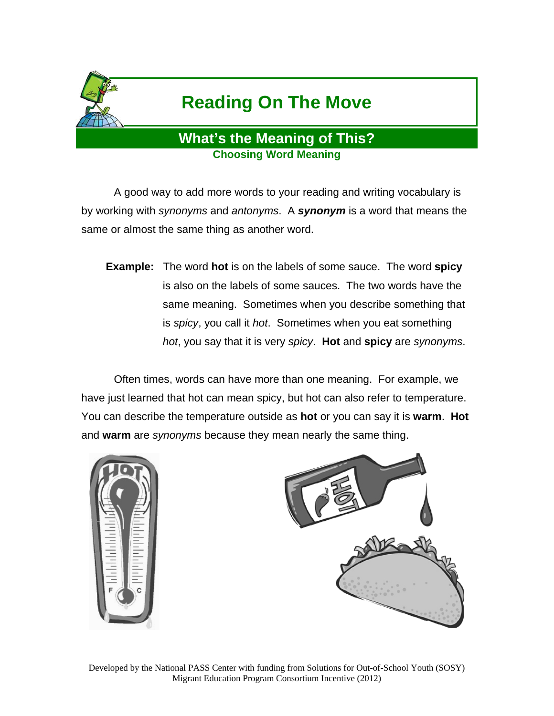

# **Reading On The Move**

## **What's the Meaning of This? Choosing Word Meaning**

 A good way to add more words to your reading and writing vocabulary is by working with *synonyms* and *antonyms*. A *synonym* is a word that means the same or almost the same thing as another word.

**Example:** The word **hot** is on the labels of some sauce. The word **spicy** is also on the labels of some sauces. The two words have the same meaning. Sometimes when you describe something that is *spicy*, you call it *hot*. Sometimes when you eat something *hot*, you say that it is very *spicy*. **Hot** and **spicy** are *synonyms*.

 Often times, words can have more than one meaning. For example, we have just learned that hot can mean spicy, but hot can also refer to temperature. You can describe the temperature outside as **hot** or you can say it is **warm**. **Hot** and **warm** are *synonyms* because they mean nearly the same thing.



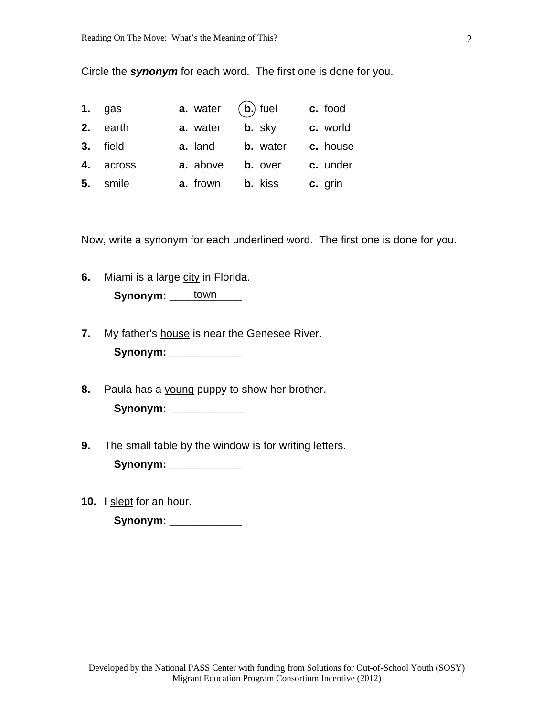Circle the *synonym* for each word. The first one is done for you.

| $1.$ gas  | <b>a.</b> water $(b)$ fuel |                    | c. food  |
|-----------|----------------------------|--------------------|----------|
| 2. earth  | a. water                   | $\mathbf{b}$ . sky | c. world |
| 3. field  | a. land                    | <b>b.</b> water    | c. house |
| 4. across | a. above                   | <b>b.</b> over     | c. under |
| 5. smile  | <b>a.</b> frown            | <b>b.</b> kiss     | c. grin  |

Now, write a synonym for each underlined word. The first one is done for you.

**6.** Miami is a large city in Florida.

**Synonym:** \_\_\_\_\_town \_\_\_\_

- **7.** My father's house is near the Genesee River. Synonym: \_\_\_\_\_\_\_\_\_\_\_\_\_
- **8.** Paula has a young puppy to show her brother. Synonym: \_\_\_\_\_\_\_\_\_\_\_\_\_
- **9.** The small table by the window is for writing letters.

**Synonym: \_\_\_\_\_\_\_\_\_\_\_\_** 

10. I slept for an hour.

**Synonym: \_\_\_\_\_\_\_\_\_\_\_\_**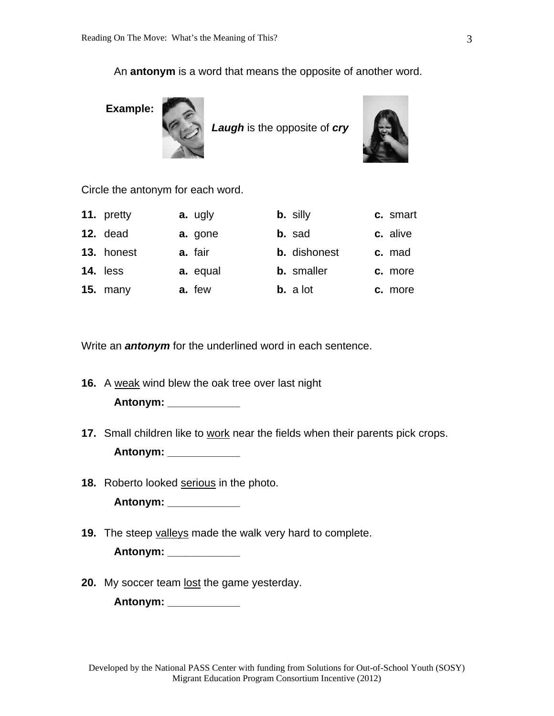An **antonym** is a word that means the opposite of another word.



*Laugh* is the opposite of *cry*



Circle the antonym for each word.

| 11. pretty | a. ugly  | <b>b.</b> silly     | c. smart |
|------------|----------|---------------------|----------|
| 12. dead   | a. gone  | b. sad              | c. alive |
| 13. honest | a. fair  | <b>b.</b> dishonest | c. mad   |
| 14. less   | a. equal | <b>b.</b> smaller   | c. more  |
| 15. $many$ | a. few   | <b>b.</b> a lot     | c. more  |

Write an *antonym* for the underlined word in each sentence.

**16.** A weak wind blew the oak tree over last night

 **Antonym: \_\_\_\_\_\_\_\_\_\_\_\_** 

- **17.** Small children like to work near the fields when their parents pick crops.  **Antonym: \_\_\_\_\_\_\_\_\_\_\_\_**
- **18.** Roberto looked serious in the photo.

 **Antonym: \_\_\_\_\_\_\_\_\_\_\_\_** 

**19.** The steep valleys made the walk very hard to complete.

 **Antonym: \_\_\_\_\_\_\_\_\_\_\_\_** 

20. My soccer team lost the game yesterday.

 **Antonym: \_\_\_\_\_\_\_\_\_\_\_\_**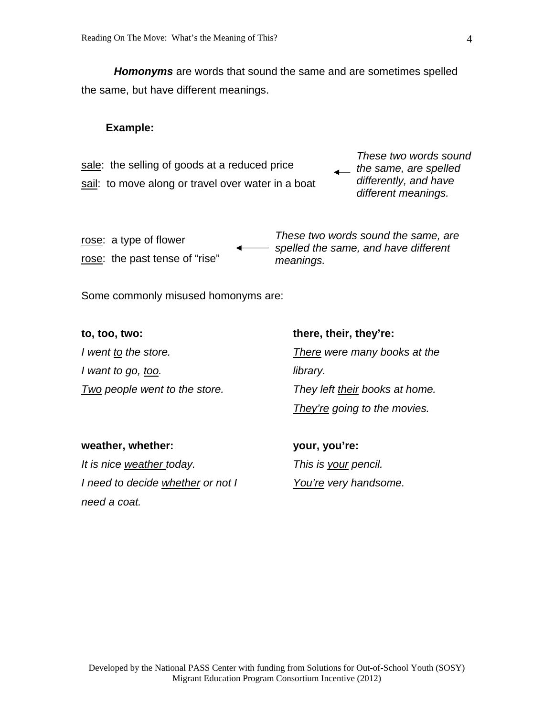*Homonyms* are words that sound the same and are sometimes spelled the same, but have different meanings.

#### **Example:**

sale: the selling of goods at a reduced price sail: to move along or travel over water in a boat

*These two words sound the same, are spelled differently, and have different meanings.* 

rose: a type of flower rose: the past tense of "rise" *These two words sound the same, are spelled the same, and have different meanings.* 

Some commonly misused homonyms are:

| to, too, two:                 | there, their, they're:         |
|-------------------------------|--------------------------------|
| I went to the store.          | There were many books at the   |
| I want to go, too.            | library.                       |
| Two people went to the store. | They left their books at home. |
|                               | They're going to the movies.   |

## **weather, whether:**  *It is nice weather today. I need to decide whether or not I need a coat.*

**your, you're:**  *This is your pencil. You're very handsome.*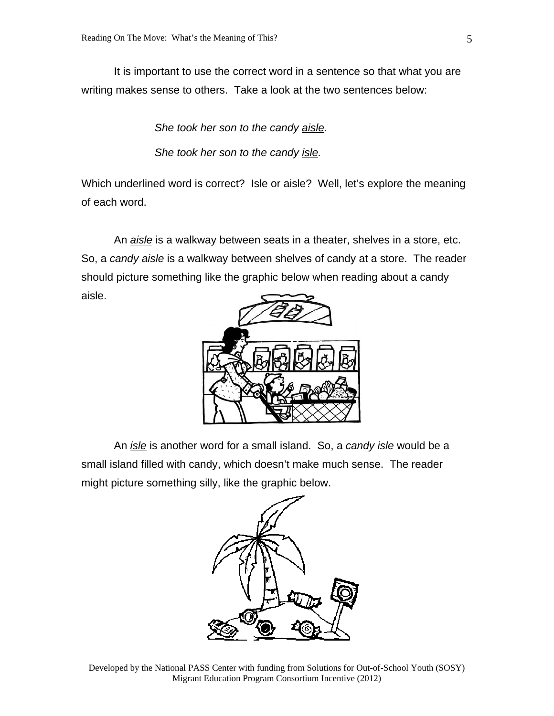It is important to use the correct word in a sentence so that what you are writing makes sense to others. Take a look at the two sentences below:

*She took her son to the candy aisle.* 

*She took her son to the candy isle.* 

Which underlined word is correct? Isle or aisle? Well, let's explore the meaning of each word.

 An *aisle* is a walkway between seats in a theater, shelves in a store, etc. So, a *candy aisle* is a walkway between shelves of candy at a store. The reader should picture something like the graphic below when reading about a candy aisle.



 An *isle* is another word for a small island. So, a *candy isle* would be a small island filled with candy, which doesn't make much sense. The reader might picture something silly, like the graphic below.

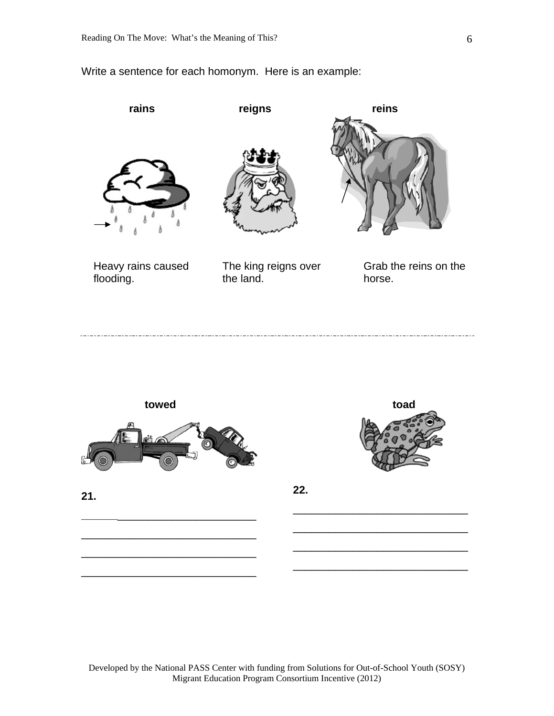### Write a sentence for each homonym. Here is an example:





**\_\_\_\_\_\_**\_\_\_\_\_\_\_\_\_\_\_\_\_\_\_\_\_\_\_\_\_\_\_

\_\_\_\_\_\_\_\_\_\_\_\_\_\_\_\_\_\_\_\_\_\_\_\_\_\_\_\_\_

\_\_\_\_\_\_\_\_\_\_\_\_\_\_\_\_\_\_\_\_\_\_\_\_\_\_\_\_\_

\_\_\_\_\_\_\_\_\_\_\_\_\_\_\_\_\_\_\_\_\_\_\_\_\_\_\_\_\_



\_\_\_\_\_\_\_\_\_\_\_\_\_\_\_\_\_\_\_\_\_\_\_\_\_\_\_\_\_

\_\_\_\_\_\_\_\_\_\_\_\_\_\_\_\_\_\_\_\_\_\_\_\_\_\_\_\_\_

\_\_\_\_\_\_\_\_\_\_\_\_\_\_\_\_\_\_\_\_\_\_\_\_\_\_\_\_\_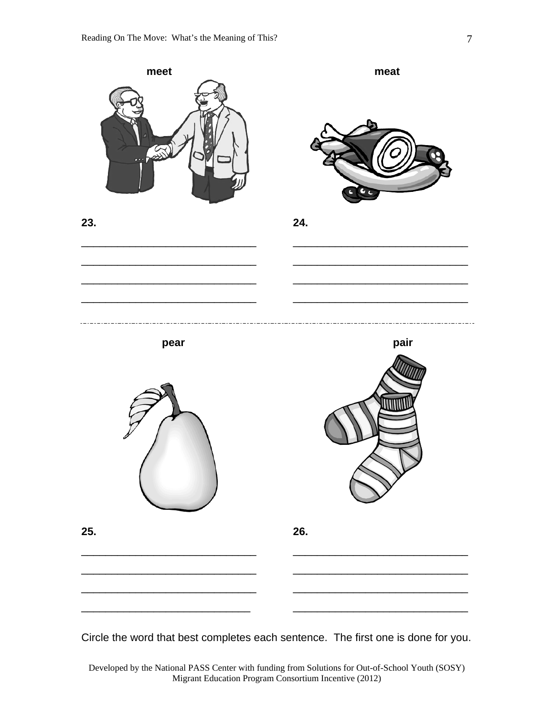

Circle the word that best completes each sentence. The first one is done for you.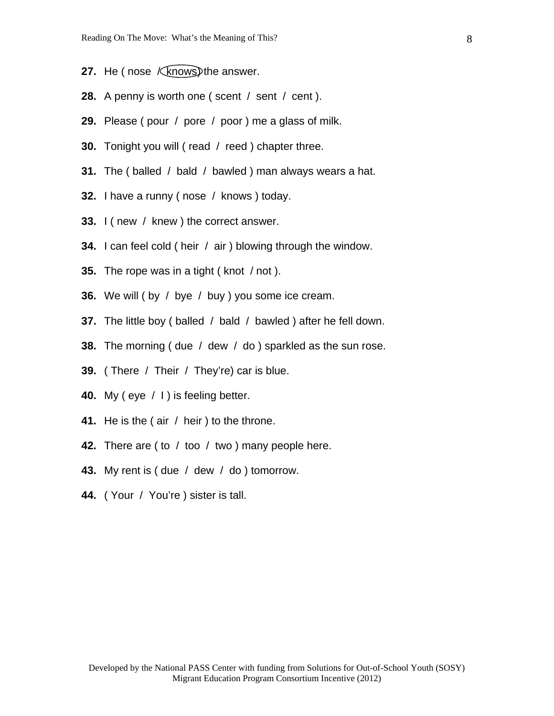- **27.** He (nose *Kknows*) the answer.
- **28.** A penny is worth one ( scent / sent / cent ).
- **29.** Please ( pour / pore / poor ) me a glass of milk.
- **30.** Tonight you will ( read / reed ) chapter three.
- **31.** The ( balled / bald / bawled ) man always wears a hat.
- **32.** I have a runny ( nose / knows ) today.
- **33.** I ( new / knew ) the correct answer.
- **34.** I can feel cold ( heir / air ) blowing through the window.
- **35.** The rope was in a tight ( knot / not ).
- **36.** We will ( by / bye / buy ) you some ice cream.
- **37.** The little boy ( balled / bald / bawled ) after he fell down.
- **38.** The morning ( due / dew / do ) sparkled as the sun rose.
- **39.** ( There / Their / They're) car is blue.
- **40.** My ( eye / I ) is feeling better.
- **41.** He is the ( air / heir ) to the throne.
- **42.** There are ( to / too / two ) many people here.
- **43.** My rent is ( due / dew / do ) tomorrow.
- **44.** ( Your / You're ) sister is tall.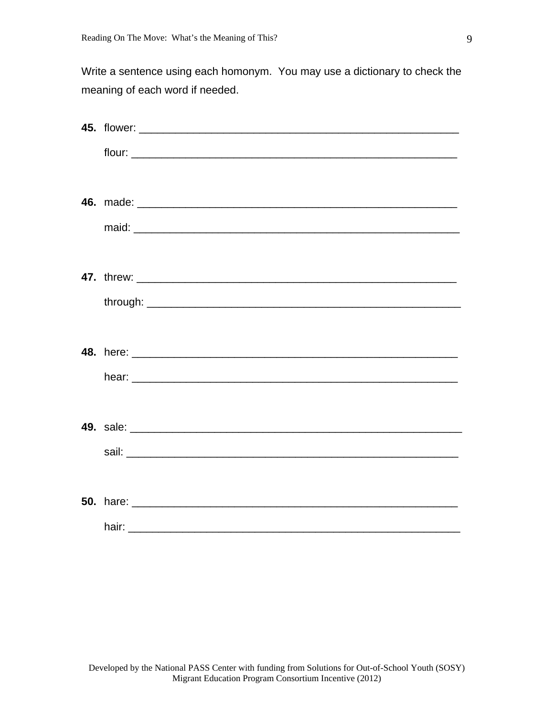Write a sentence using each homonym. You may use a dictionary to check the meaning of each word if needed.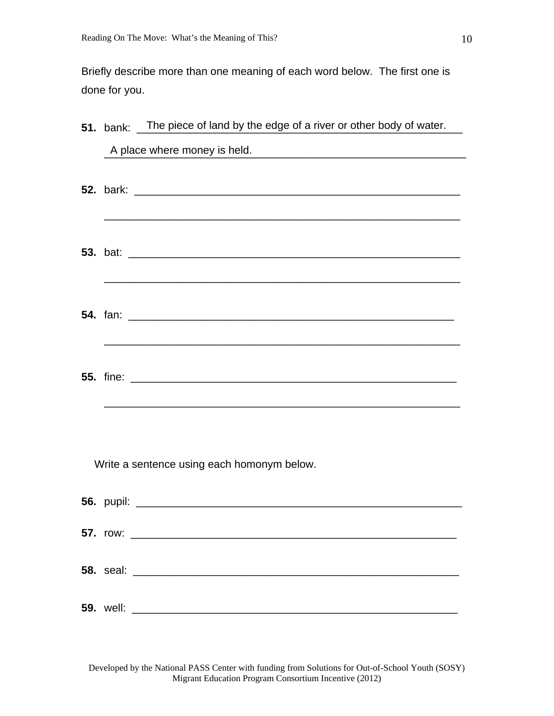Briefly describe more than one meaning of each word below. The first one is done for you.

|  | 51. bank: The piece of land by the edge of a river or other body of water.        |
|--|-----------------------------------------------------------------------------------|
|  | A place where money is held.<br><u> 1980 - Jan Alexander Alexander (h. 1980).</u> |
|  | <u> 1989 - Johann Stoff, amerikansk politiker (* 1908)</u>                        |
|  |                                                                                   |
|  |                                                                                   |
|  |                                                                                   |
|  | Write a sentence using each homonym below.                                        |
|  |                                                                                   |
|  |                                                                                   |
|  |                                                                                   |
|  |                                                                                   |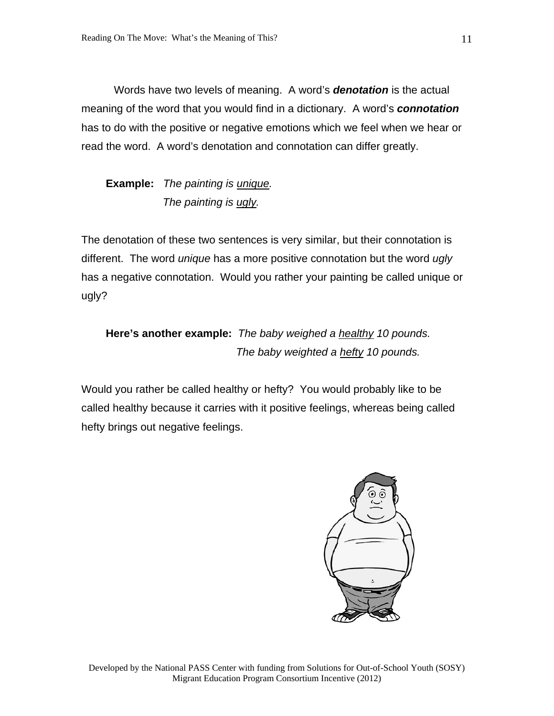Words have two levels of meaning. A word's *denotation* is the actual meaning of the word that you would find in a dictionary. A word's *connotation* has to do with the positive or negative emotions which we feel when we hear or read the word. A word's denotation and connotation can differ greatly.

## **Example:** *The painting is unique. The painting is ugly.*

The denotation of these two sentences is very similar, but their connotation is different. The word *unique* has a more positive connotation but the word *ugly* has a negative connotation. Would you rather your painting be called unique or ugly?

## **Here's another example:** *The baby weighed a healthy 10 pounds. The baby weighted a hefty 10 pounds.*

Would you rather be called healthy or hefty? You would probably like to be called healthy because it carries with it positive feelings, whereas being called hefty brings out negative feelings.

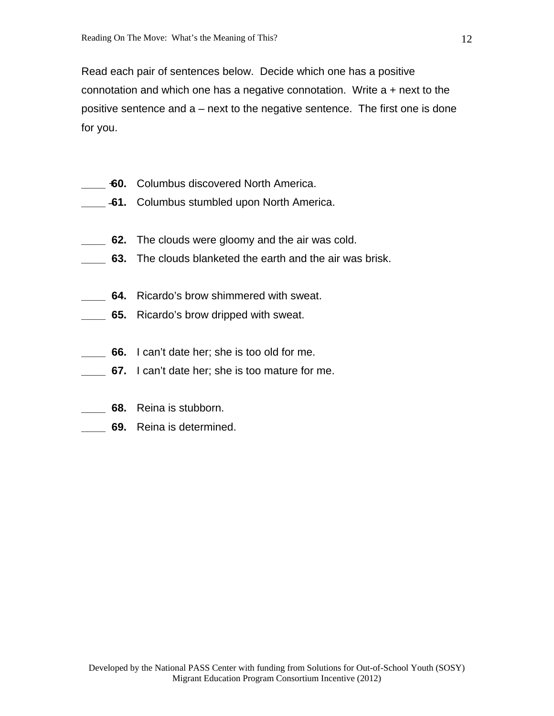Read each pair of sentences below. Decide which one has a positive connotation and which one has a negative connotation. Write a + next to the positive sentence and a – next to the negative sentence. The first one is done for you.

- **100.** Columbus discovered North America.
- **41.** Columbus stumbled upon North America.
- **62.** The clouds were gloomy and the air was cold.
- **\_\_\_\_ 63.** The clouds blanketed the earth and the air was brisk.
- **64.** Ricardo's brow shimmered with sweat.
- **65.** Ricardo's brow dripped with sweat.
- **66.** I can't date her; she is too old for me.
- **67.** I can't date her; she is too mature for me.
- **\_\_\_\_ 68.** Reina is stubborn.
- **\_\_\_\_ 69.** Reina is determined.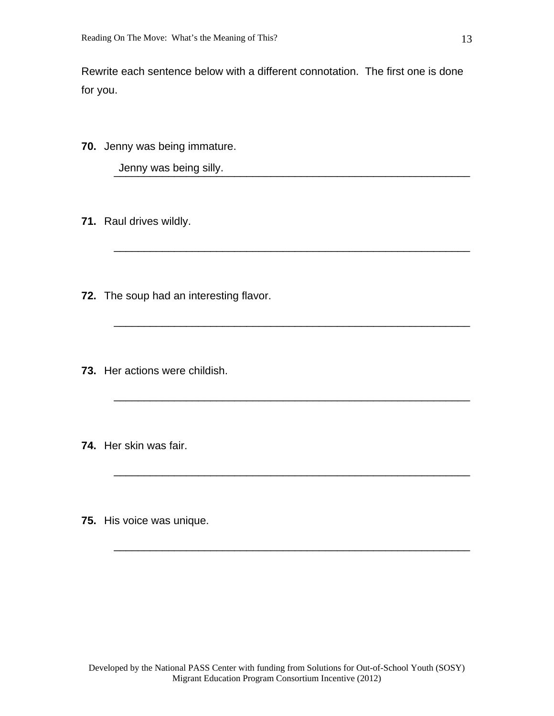Rewrite each sentence below with a different connotation. The first one is done for you.

 $\overline{\phantom{a}}$  ,  $\overline{\phantom{a}}$  ,  $\overline{\phantom{a}}$  ,  $\overline{\phantom{a}}$  ,  $\overline{\phantom{a}}$  ,  $\overline{\phantom{a}}$  ,  $\overline{\phantom{a}}$  ,  $\overline{\phantom{a}}$  ,  $\overline{\phantom{a}}$  ,  $\overline{\phantom{a}}$  ,  $\overline{\phantom{a}}$  ,  $\overline{\phantom{a}}$  ,  $\overline{\phantom{a}}$  ,  $\overline{\phantom{a}}$  ,  $\overline{\phantom{a}}$  ,  $\overline{\phantom{a}}$ 

 $\overline{\phantom{a}}$  ,  $\overline{\phantom{a}}$  ,  $\overline{\phantom{a}}$  ,  $\overline{\phantom{a}}$  ,  $\overline{\phantom{a}}$  ,  $\overline{\phantom{a}}$  ,  $\overline{\phantom{a}}$  ,  $\overline{\phantom{a}}$  ,  $\overline{\phantom{a}}$  ,  $\overline{\phantom{a}}$  ,  $\overline{\phantom{a}}$  ,  $\overline{\phantom{a}}$  ,  $\overline{\phantom{a}}$  ,  $\overline{\phantom{a}}$  ,  $\overline{\phantom{a}}$  ,  $\overline{\phantom{a}}$ 

 $\frac{\partial}{\partial x_i}$  , and the set of the set of the set of the set of the set of the set of the set of the set of the set of the set of the set of the set of the set of the set of the set of the set of the set of the set of the

 $\overline{\phantom{a}}$  , and the contract of the contract of the contract of the contract of the contract of the contract of the contract of the contract of the contract of the contract of the contract of the contract of the contrac

 $\overline{\phantom{a}}$  , and the contribution of the contribution of the contribution of the contribution of the contribution of the contribution of the contribution of the contribution of the contribution of the contribution of the

\_\_\_\_\_\_\_\_\_\_\_\_\_\_\_\_\_\_\_\_\_\_\_\_\_\_\_\_\_\_\_\_\_\_\_\_\_\_\_\_\_\_\_\_\_\_\_\_\_\_\_\_\_\_\_\_\_\_\_

**70.** Jenny was being immature.

Jenny was being silly.

- **71.** Raul drives wildly.
- **72.** The soup had an interesting flavor.
- **73.** Her actions were childish.
- **74.** Her skin was fair.
- **75.** His voice was unique.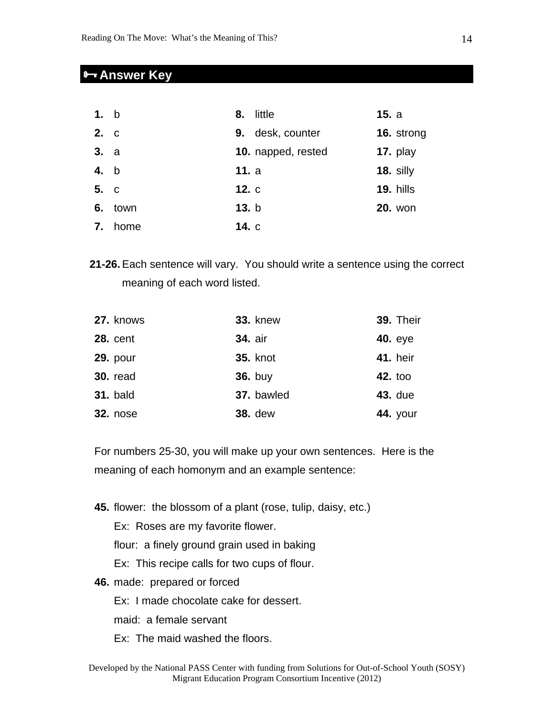## **Answer Key**

| 1. b |      | 8.    | little             | 15. a |                |
|------|------|-------|--------------------|-------|----------------|
| 2. c |      | 9.    | desk, counter      |       | 16. strong     |
| 3. a |      |       | 10. napped, rested |       | 17. $play$     |
| 4. b |      | 11. a |                    |       | 18. silly      |
| 5. c |      | 12. c |                    |       | 19. hills      |
| 6.   | town | 13. b |                    |       | <b>20. won</b> |
| 7.   | home | 14. c |                    |       |                |

**21-26.** Each sentence will vary. You should write a sentence using the correct meaning of each word listed.

| 27. knows       | <b>33. knew</b> | 39. Their       |
|-----------------|-----------------|-----------------|
| <b>28. cent</b> | <b>34. air</b>  | <b>40.</b> eye  |
| <b>29. pour</b> | <b>35. knot</b> | <b>41.</b> heir |
| <b>30. read</b> | <b>36.</b> buy  | <b>42. too</b>  |
| <b>31. bald</b> | 37. bawled      | <b>43. due</b>  |
| <b>32. nose</b> | <b>38.</b> dew  | <b>44.</b> your |

For numbers 25-30, you will make up your own sentences. Here is the meaning of each homonym and an example sentence:

**45.** flower: the blossom of a plant (rose, tulip, daisy, etc.)

Ex: Roses are my favorite flower.

flour: a finely ground grain used in baking

Ex: This recipe calls for two cups of flour.

**46.** made: prepared or forced

Ex: I made chocolate cake for dessert.

- maid: a female servant
- Ex: The maid washed the floors.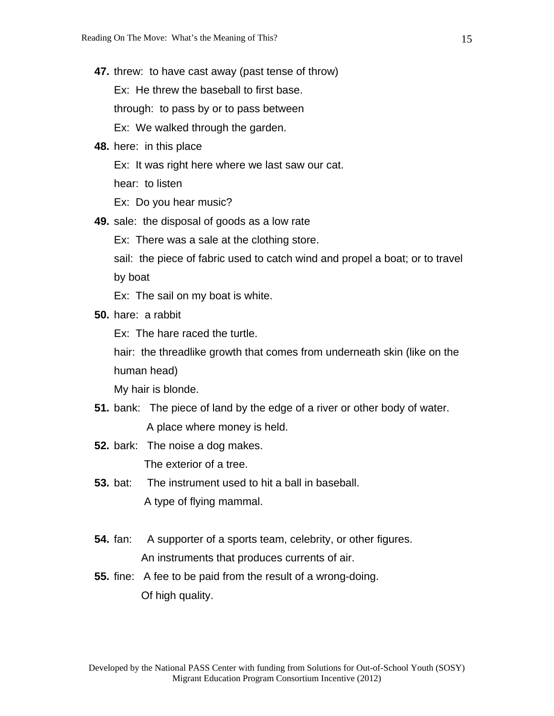**47.** threw: to have cast away (past tense of throw)

Ex: He threw the baseball to first base.

through: to pass by or to pass between

Ex: We walked through the garden.

- **48.** here: in this place
	- Ex: It was right here where we last saw our cat.

hear: to listen

- Ex: Do you hear music?
- **49.** sale: the disposal of goods as a low rate
	- Ex: There was a sale at the clothing store.

 sail: the piece of fabric used to catch wind and propel a boat; or to travel by boat

Ex: The sail on my boat is white.

**50.** hare: a rabbit

Ex: The hare raced the turtle.

 hair: the threadlike growth that comes from underneath skin (like on the human head)

My hair is blonde.

- **51.** bank: The piece of land by the edge of a river or other body of water. A place where money is held.
- **52.** bark: The noise a dog makes. The exterior of a tree.
- **53.** bat: The instrument used to hit a ball in baseball. A type of flying mammal.
- **54.** fan: A supporter of a sports team, celebrity, or other figures. An instruments that produces currents of air.
- **55.** fine: A fee to be paid from the result of a wrong-doing. Of high quality.